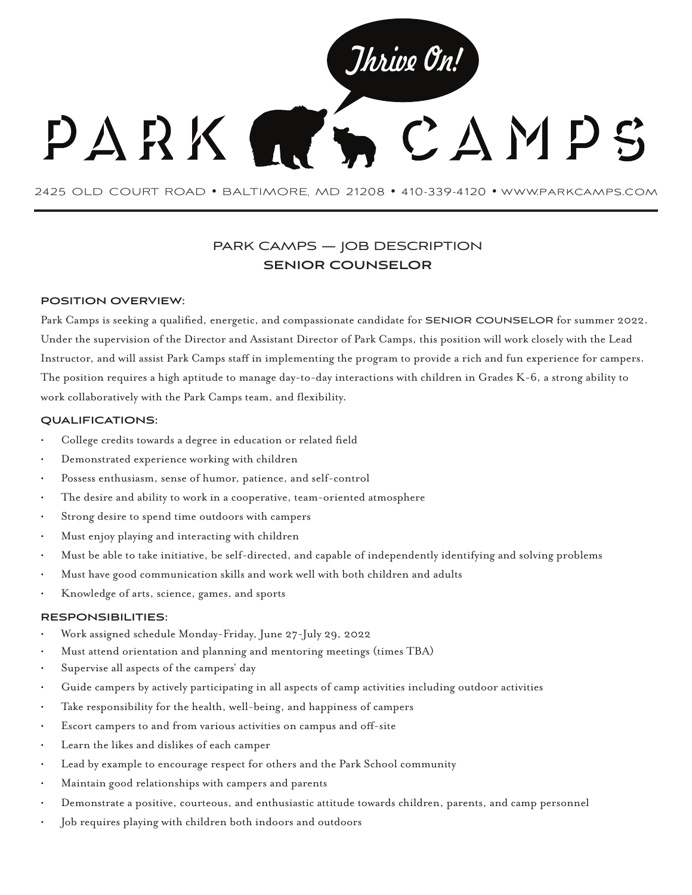

2425 OLD COURT ROAD • BALTIMORE, MD 21208 • 410-339-4120 • www.parkcamps.com

# PARK CAMPS — JOB DESCRIPTION **SENIOR COUNSELOR**

## **POSITION OVERVIEW:**

Park Camps is seeking a qualified, energetic, and compassionate candidate for SENIOR COUNSELOR for summer 2022. Under the supervision of the Director and Assistant Director of Park Camps, this position will work closely with the Lead Instructor, and will assist Park Camps staff in implementing the program to provide a rich and fun experience for campers. The position requires a high aptitude to manage day-to-day interactions with children in Grades K-6, a strong ability to work collaboratively with the Park Camps team, and flexibility.

## **QUALIFICATIONS:**

- College credits towards a degree in education or related field
- Demonstrated experience working with children
- Possess enthusiasm, sense of humor, patience, and self-control
- The desire and ability to work in a cooperative, team-oriented atmosphere
- Strong desire to spend time outdoors with campers
- Must enjoy playing and interacting with children
- Must be able to take initiative, be self-directed, and capable of independently identifying and solving problems
- Must have good communication skills and work well with both children and adults
- Knowledge of arts, science, games, and sports

#### **RESPONSIBILITIES:**

- Work assigned schedule Monday-Friday, June 27-July 29, 2022
- Must attend orientation and planning and mentoring meetings (times TBA)
- Supervise all aspects of the campers' day
- Guide campers by actively participating in all aspects of camp activities including outdoor activities
- Take responsibility for the health, well-being, and happiness of campers
- Escort campers to and from various activities on campus and off-site
- Learn the likes and dislikes of each camper
- Lead by example to encourage respect for others and the Park School community
- Maintain good relationships with campers and parents
- Demonstrate a positive, courteous, and enthusiastic attitude towards children, parents, and camp personnel
- Job requires playing with children both indoors and outdoors